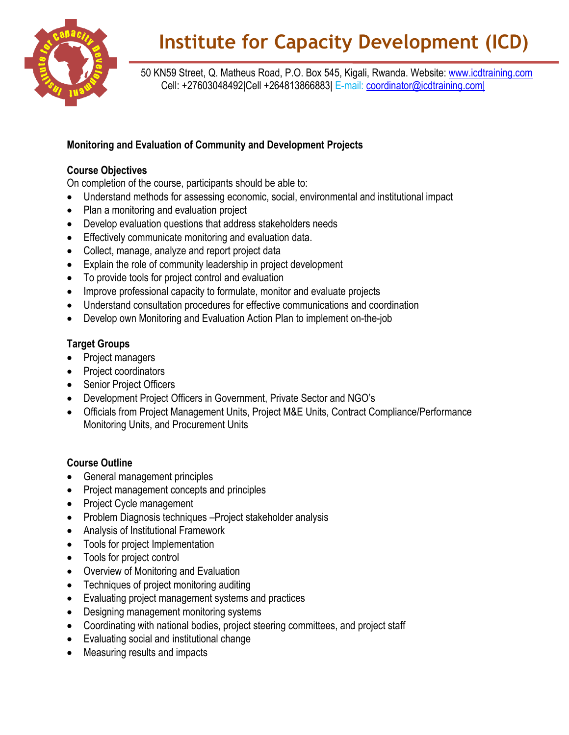

# **Institute for Capacity Development (ICD)**

 50 KN59 Street, Q. Matheus Road, P.O. Box 545, Kigali, Rwanda. Website: [www.icdtraining.com](http://www.icdtraining.com/) Cell: +27603048492|Cell +264813866883| E-mail: [coordinator@icdtraining.com|](mailto:coordinator@icdtraining.com%7C)

### **Monitoring and Evaluation of Community and Development Projects**

#### **Course Objectives**

On completion of the course, participants should be able to:

- Understand methods for assessing economic, social, environmental and institutional impact
- Plan a monitoring and evaluation project
- Develop evaluation questions that address stakeholders needs
- **Effectively communicate monitoring and evaluation data.**
- Collect, manage, analyze and report project data
- Explain the role of community leadership in project development
- To provide tools for project control and evaluation
- Improve professional capacity to formulate, monitor and evaluate projects
- Understand consultation procedures for effective communications and coordination
- Develop own Monitoring and Evaluation Action Plan to implement on-the-job

## **Target Groups**

- Project managers
- Project coordinators
- Senior Project Officers
- Development Project Officers in Government, Private Sector and NGO's
- Officials from Project Management Units, Project M&E Units, Contract Compliance/Performance Monitoring Units, and Procurement Units

## **Course Outline**

- General management principles
- Project management concepts and principles
- Project Cycle management
- Problem Diagnosis techniques Project stakeholder analysis
- Analysis of Institutional Framework
- Tools for project Implementation
- Tools for project control
- Overview of Monitoring and Evaluation
- Techniques of project monitoring auditing
- Evaluating project management systems and practices
- Designing management monitoring systems
- Coordinating with national bodies, project steering committees, and project staff
- Evaluating social and institutional change
- Measuring results and impacts